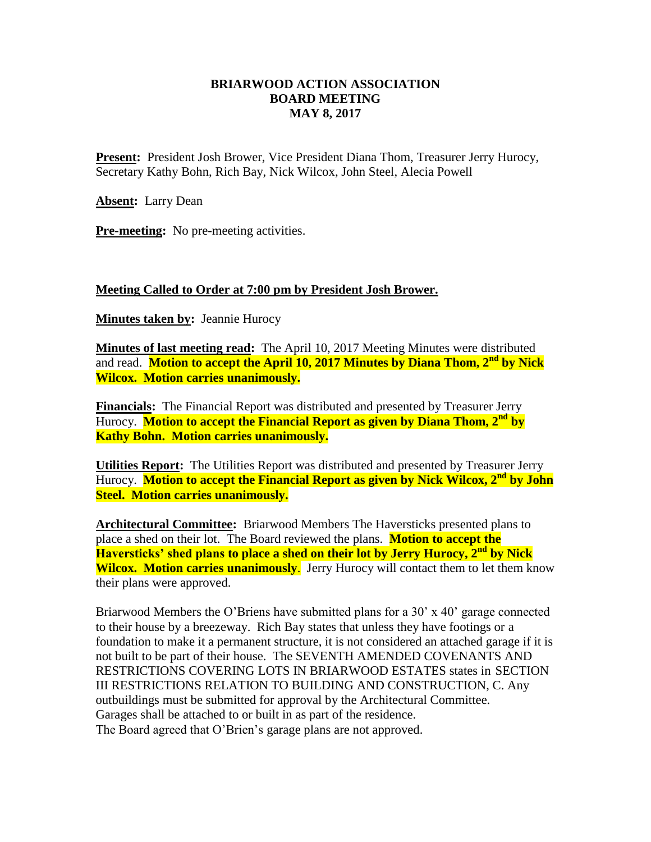## **BRIARWOOD ACTION ASSOCIATION BOARD MEETING MAY 8, 2017**

**Present:** President Josh Brower, Vice President Diana Thom, Treasurer Jerry Hurocy, Secretary Kathy Bohn, Rich Bay, Nick Wilcox, John Steel, Alecia Powell

**Absent:** Larry Dean

**Pre-meeting:** No pre-meeting activities.

#### **Meeting Called to Order at 7:00 pm by President Josh Brower.**

**Minutes taken by:** Jeannie Hurocy

**Minutes of last meeting read:** The April 10, 2017 Meeting Minutes were distributed and read. **Motion to accept the April 10, 2017 Minutes by Diana Thom, 2nd by Nick Wilcox. Motion carries unanimously.**

**Financials:** The Financial Report was distributed and presented by Treasurer Jerry Hurocy. **Motion to accept the Financial Report as given by Diana Thom, 2nd by Kathy Bohn. Motion carries unanimously.**

**Utilities Report:** The Utilities Report was distributed and presented by Treasurer Jerry Hurocy. **Motion to accept the Financial Report as given by Nick Wilcox, 2nd by John Steel. Motion carries unanimously.**

**Architectural Committee:** Briarwood Members The Haversticks presented plans to place a shed on their lot. The Board reviewed the plans. **Motion to accept the Haversticks' shed plans to place a shed on their lot by Jerry Hurocy, 2nd by Nick Wilcox. Motion carries unanimously.** Jerry Hurocy will contact them to let them know their plans were approved.

Briarwood Members the O'Briens have submitted plans for a 30' x 40' garage connected to their house by a breezeway. Rich Bay states that unless they have footings or a foundation to make it a permanent structure, it is not considered an attached garage if it is not built to be part of their house. The SEVENTH AMENDED COVENANTS AND RESTRICTIONS COVERING LOTS IN BRIARWOOD ESTATES states in SECTION III RESTRICTIONS RELATION TO BUILDING AND CONSTRUCTION, C. Any outbuildings must be submitted for approval by the Architectural Committee. Garages shall be attached to or built in as part of the residence. The Board agreed that O'Brien's garage plans are not approved.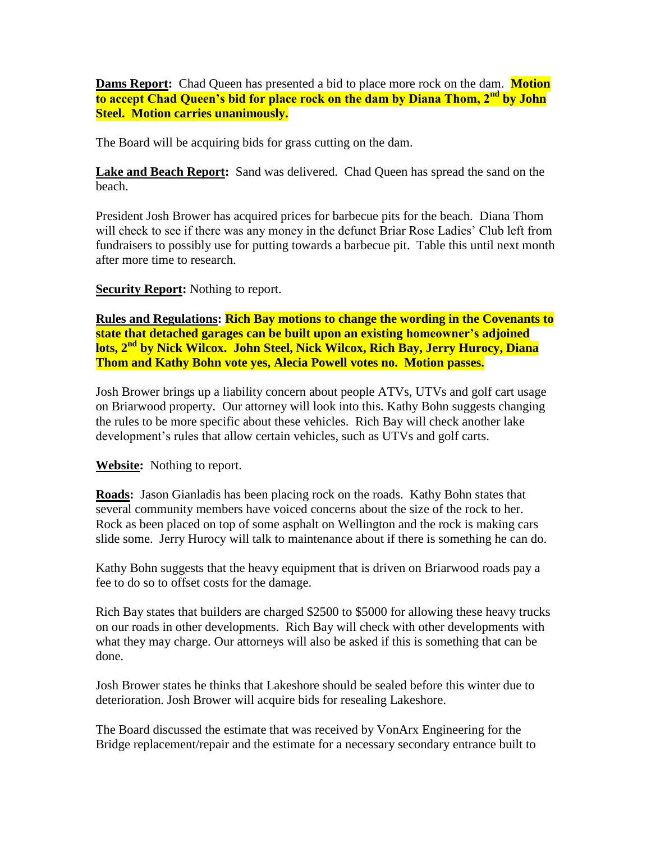**Dams Report:** Chad Queen has presented a bid to place more rock on the dam. **Motion to accept Chad Queen's bid for place rock on the dam by Diana Thom, 2nd by John Steel. Motion carries unanimously.**

The Board will be acquiring bids for grass cutting on the dam.

Lake and Beach Report: Sand was delivered. Chad Queen has spread the sand on the beach.

President Josh Brower has acquired prices for barbecue pits for the beach. Diana Thom will check to see if there was any money in the defunct Briar Rose Ladies' Club left from fundraisers to possibly use for putting towards a barbecue pit. Table this until next month after more time to research.

**Security Report:** Nothing to report.

**Rules and Regulations: Rich Bay motions to change the wording in the Covenants to state that detached garages can be built upon an existing homeowner's adjoined lots, 2nd by Nick Wilcox. John Steel, Nick Wilcox, Rich Bay, Jerry Hurocy, Diana Thom and Kathy Bohn vote yes, Alecia Powell votes no. Motion passes.**

Josh Brower brings up a liability concern about people ATVs, UTVs and golf cart usage on Briarwood property. Our attorney will look into this. Kathy Bohn suggests changing the rules to be more specific about these vehicles. Rich Bay will check another lake development's rules that allow certain vehicles, such as UTVs and golf carts.

**Website:** Nothing to report.

**Roads:** Jason Gianladis has been placing rock on the roads. Kathy Bohn states that several community members have voiced concerns about the size of the rock to her. Rock as been placed on top of some asphalt on Wellington and the rock is making cars slide some. Jerry Hurocy will talk to maintenance about if there is something he can do.

Kathy Bohn suggests that the heavy equipment that is driven on Briarwood roads pay a fee to do so to offset costs for the damage.

Rich Bay states that builders are charged \$2500 to \$5000 for allowing these heavy trucks on our roads in other developments. Rich Bay will check with other developments with what they may charge. Our attorneys will also be asked if this is something that can be done.

Josh Brower states he thinks that Lakeshore should be sealed before this winter due to deterioration. Josh Brower will acquire bids for resealing Lakeshore.

The Board discussed the estimate that was received by VonArx Engineering for the Bridge replacement/repair and the estimate for a necessary secondary entrance built to